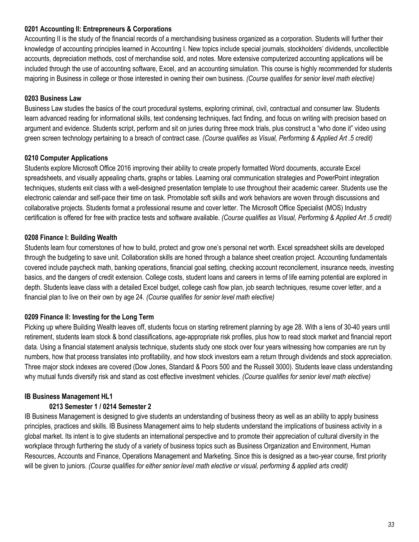# **0201 Accounting II: Entrepreneurs & Corporations**

Accounting II is the study of the financial records of a merchandising business organized as a corporation. Students will further their knowledge of accounting principles learned in Accounting I. New topics include special journals, stockholders' dividends, uncollectible accounts, depreciation methods, cost of merchandise sold, and notes. More extensive computerized accounting applications will be included through the use of accounting software, Excel, and an accounting simulation. This course is highly recommended for students majoring in Business in college or those interested in owning their own business. *(Course qualifies for senior level math elective)*

#### **0203 Business Law**

Business Law studies the basics of the court procedural systems, exploring criminal, civil, contractual and consumer law. Students learn advanced reading for informational skills, text condensing techniques, fact finding, and focus on writing with precision based on argument and evidence. Students script, perform and sit on juries during three mock trials, plus construct a "who done it" video using green screen technology pertaining to a breach of contract case. *(Course qualifies as Visual, Performing & Applied Art .5 credit)*

#### **0210 Computer Applications**

Students explore Microsoft Office 2016 improving their ability to create properly formatted Word documents, accurate Excel spreadsheets, and visually appealing charts, graphs or tables. Learning oral communication strategies and PowerPoint integration techniques, students exit class with a well-designed presentation template to use throughout their academic career. Students use the electronic calendar and self-pace their time on task. Promotable soft skills and work behaviors are woven through discussions and collaborative projects. Students format a professional resume and cover letter. The Microsoft Office Specialist (MOS) Industry certification is offered for free with practice tests and software available. *(Course qualifies as Visual, Performing & Applied Art .5 credit)*

# **0208 Finance I: Building Wealth**

Students learn four cornerstones of how to build, protect and grow one's personal net worth. Excel spreadsheet skills are developed through the budgeting to save unit. Collaboration skills are honed through a balance sheet creation project. Accounting fundamentals covered include paycheck math, banking operations, financial goal setting, checking account reconcilement, insurance needs, investing basics, and the dangers of credit extension. College costs, student loans and careers in terms of life earning potential are explored in depth. Students leave class with a detailed Excel budget, college cash flow plan, job search techniques, resume cover letter, and a financial plan to live on their own by age 24. *(Course qualifies for senior level math elective)*

# **0209 Finance II: Investing for the Long Term**

Picking up where Building Wealth leaves off, students focus on starting retirement planning by age 28. With a lens of 30-40 years until retirement, students learn stock & bond classifications, age-appropriate risk profiles, plus how to read stock market and financial report data. Using a financial statement analysis technique, students study one stock over four years witnessing how companies are run by numbers, how that process translates into profitability, and how stock investors earn a return through dividends and stock appreciation. Three major stock indexes are covered (Dow Jones, Standard & Poors 500 and the Russell 3000). Students leave class understanding why mutual funds diversify risk and stand as cost effective investment vehicles. *(Course qualifies for senior level math elective)*

# **IB Business Management HL1**

# **0213 Semester 1 / 0214 Semester 2**

IB Business Management is designed to give students an understanding of business theory as well as an ability to apply business principles, practices and skills. IB Business Management aims to help students understand the implications of business activity in a global market. Its intent is to give students an international perspective and to promote their appreciation of cultural diversity in the workplace through furthering the study of a variety of business topics such as Business Organization and Environment, Human Resources, Accounts and Finance, Operations Management and Marketing. Since this is designed as a two-year course, first priority will be given to juniors. *(Course qualifies for either senior level math elective or visual, performing & applied arts credit)*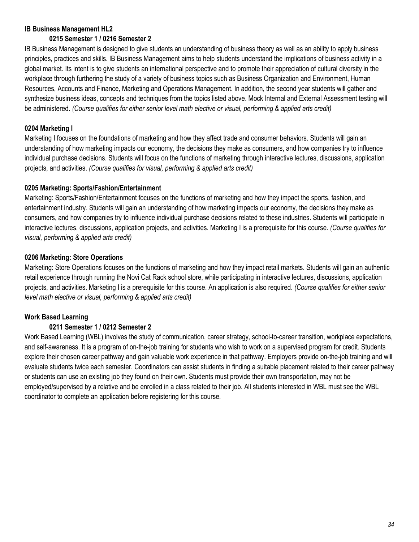# **IB Business Management HL2**

# **0215 Semester 1 / 0216 Semester 2**

IB Business Management is designed to give students an understanding of business theory as well as an ability to apply business principles, practices and skills. IB Business Management aims to help students understand the implications of business activity in a global market. Its intent is to give students an international perspective and to promote their appreciation of cultural diversity in the workplace through furthering the study of a variety of business topics such as Business Organization and Environment, Human Resources, Accounts and Finance, Marketing and Operations Management. In addition, the second year students will gather and synthesize business ideas, concepts and techniques from the topics listed above. Mock Internal and External Assessment testing will be administered. *(Course qualifies for either senior level math elective or visual, performing & applied arts credit)*

# **0204 Marketing I**

Marketing I focuses on the foundations of marketing and how they affect trade and consumer behaviors. Students will gain an understanding of how marketing impacts our economy, the decisions they make as consumers, and how companies try to influence individual purchase decisions. Students will focus on the functions of marketing through interactive lectures, discussions, application projects, and activities. *(Course qualifies for visual, performing & applied arts credit)*

# **0205 Marketing: Sports/Fashion/Entertainment**

Marketing: Sports/Fashion/Entertainment focuses on the functions of marketing and how they impact the sports, fashion, and entertainment industry. Students will gain an understanding of how marketing impacts our economy, the decisions they make as consumers, and how companies try to influence individual purchase decisions related to these industries. Students will participate in interactive lectures, discussions, application projects, and activities. Marketing I is a prerequisite for this course. *(Course qualifies for visual, performing & applied arts credit)*

# **0206 Marketing: Store Operations**

Marketing: Store Operations focuses on the functions of marketing and how they impact retail markets. Students will gain an authentic retail experience through running the Novi Cat Rack school store, while participating in interactive lectures, discussions, application projects, and activities. Marketing I is a prerequisite for this course. An application is also required. *(Course qualifies for either senior level math elective or visual, performing & applied arts credit)*

# **Work Based Learning**

# **0211 Semester 1 / 0212 Semester 2**

Work Based Learning (WBL) involves the study of communication, career strategy, school-to-career transition, workplace expectations, and self-awareness. It is a program of on-the-job training for students who wish to work on a supervised program for credit. Students explore their chosen career pathway and gain valuable work experience in that pathway. Employers provide on-the-job training and will evaluate students twice each semester. Coordinators can assist students in finding a suitable placement related to their career pathway or students can use an existing job they found on their own. Students must provide their own transportation, may not be employed/supervised by a relative and be enrolled in a class related to their job. All students interested in WBL must see the WBL coordinator to complete an application before registering for this course.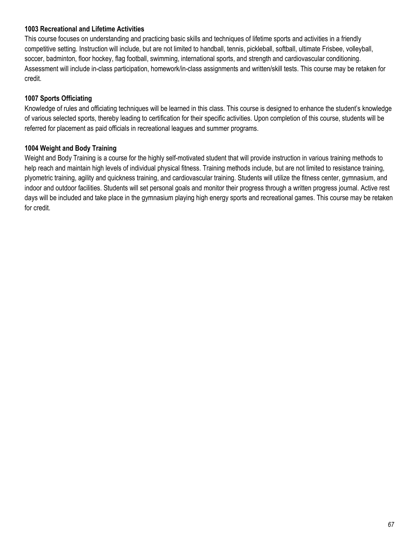#### **1003 Recreational and Lifetime Activities**

This course focuses on understanding and practicing basic skills and techniques of lifetime sports and activities in a friendly competitive setting. Instruction will include, but are not limited to handball, tennis, pickleball, softball, ultimate Frisbee, volleyball, soccer, badminton, floor hockey, flag football, swimming, international sports, and strength and cardiovascular conditioning. Assessment will include in-class participation, homework/in-class assignments and written/skill tests. This course may be retaken for credit.

#### **1007 Sports Officiating**

Knowledge of rules and officiating techniques will be learned in this class. This course is designed to enhance the student's knowledge of various selected sports, thereby leading to certification for their specific activities. Upon completion of this course, students will be referred for placement as paid officials in recreational leagues and summer programs.

#### **1004 Weight and Body Training**

Weight and Body Training is a course for the highly self-motivated student that will provide instruction in various training methods to help reach and maintain high levels of individual physical fitness. Training methods include, but are not limited to resistance training, plyometric training, agility and quickness training, and cardiovascular training. Students will utilize the fitness center, gymnasium, and indoor and outdoor facilities. Students will set personal goals and monitor their progress through a written progress journal. Active rest days will be included and take place in the gymnasium playing high energy sports and recreational games. This course may be retaken for credit.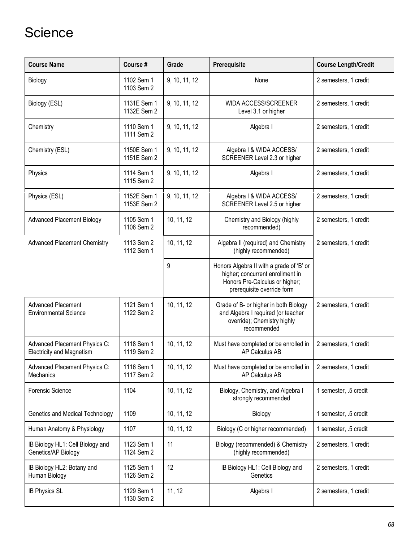# **Science**

| <b>Course Name</b>                                                | Course #                   | Grade         | Prerequisite                                                                                                                                 | <b>Course Length/Credit</b> |
|-------------------------------------------------------------------|----------------------------|---------------|----------------------------------------------------------------------------------------------------------------------------------------------|-----------------------------|
| Biology                                                           | 1102 Sem 1<br>1103 Sem 2   | 9, 10, 11, 12 | None                                                                                                                                         | 2 semesters, 1 credit       |
| Biology (ESL)                                                     | 1131E Sem 1<br>1132E Sem 2 | 9, 10, 11, 12 | WIDA ACCESS/SCREENER<br>Level 3.1 or higher                                                                                                  | 2 semesters, 1 credit       |
| Chemistry                                                         | 1110 Sem 1<br>1111 Sem 2   | 9, 10, 11, 12 | Algebra I                                                                                                                                    | 2 semesters, 1 credit       |
| Chemistry (ESL)                                                   | 1150E Sem 1<br>1151E Sem 2 | 9, 10, 11, 12 | Algebra I & WIDA ACCESS/<br>SCREENER Level 2.3 or higher                                                                                     | 2 semesters, 1 credit       |
| Physics                                                           | 1114 Sem 1<br>1115 Sem 2   | 9, 10, 11, 12 | Algebra I                                                                                                                                    | 2 semesters, 1 credit       |
| Physics (ESL)                                                     | 1152E Sem 1<br>1153E Sem 2 | 9, 10, 11, 12 | Algebra I & WIDA ACCESS/<br>SCREENER Level 2.5 or higher                                                                                     | 2 semesters, 1 credit       |
| <b>Advanced Placement Biology</b>                                 | 1105 Sem 1<br>1106 Sem 2   | 10, 11, 12    | Chemistry and Biology (highly<br>recommended)                                                                                                | 2 semesters, 1 credit       |
| <b>Advanced Placement Chemistry</b>                               | 1113 Sem 2<br>1112 Sem 1   | 10, 11, 12    | Algebra II (required) and Chemistry<br>(highly recommended)                                                                                  | 2 semesters, 1 credit       |
|                                                                   |                            | 9             | Honors Algebra II with a grade of 'B' or<br>higher; concurrent enrollment in<br>Honors Pre-Calculus or higher;<br>prerequisite override form |                             |
| <b>Advanced Placement</b><br><b>Environmental Science</b>         | 1121 Sem 1<br>1122 Sem 2   | 10, 11, 12    | Grade of B- or higher in both Biology<br>and Algebra I required (or teacher<br>override); Chemistry highly<br>recommended                    | 2 semesters, 1 credit       |
| Advanced Placement Physics C:<br><b>Electricity and Magnetism</b> | 1118 Sem 1<br>1119 Sem 2   | 10, 11, 12    | Must have completed or be enrolled in<br>AP Calculus AB                                                                                      | 2 semesters, 1 credit       |
| Advanced Placement Physics C:<br><b>Mechanics</b>                 | 1116 Sem 1<br>1117 Sem 2   | 10, 11, 12    | Must have completed or be enrolled in<br>AP Calculus AB                                                                                      | 2 semesters, 1 credit       |
| <b>Forensic Science</b>                                           | 1104                       | 10, 11, 12    | Biology, Chemistry, and Algebra I<br>strongly recommended                                                                                    | 1 semester, .5 credit       |
| Genetics and Medical Technology                                   | 1109                       | 10, 11, 12    | Biology                                                                                                                                      | 1 semester, .5 credit       |
| Human Anatomy & Physiology                                        | 1107                       | 10, 11, 12    | Biology (C or higher recommended)                                                                                                            | 1 semester, .5 credit       |
| IB Biology HL1: Cell Biology and<br>Genetics/AP Biology           | 1123 Sem 1<br>1124 Sem 2   | 11            | Biology (recommended) & Chemistry<br>(highly recommended)                                                                                    | 2 semesters, 1 credit       |
| IB Biology HL2: Botany and<br>Human Biology                       | 1125 Sem 1<br>1126 Sem 2   | 12            | IB Biology HL1: Cell Biology and<br>Genetics                                                                                                 | 2 semesters, 1 credit       |
| <b>IB Physics SL</b>                                              | 1129 Sem 1<br>1130 Sem 2   | 11, 12        | Algebra I                                                                                                                                    | 2 semesters, 1 credit       |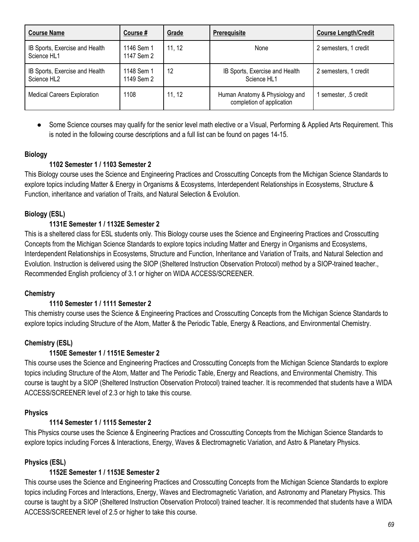| <b>Course Name</b>                                        | Course #                 | Grade  | <b>Prerequisite</b>                                         | <b>Course Length/Credit</b> |
|-----------------------------------------------------------|--------------------------|--------|-------------------------------------------------------------|-----------------------------|
| IB Sports, Exercise and Health<br>Science HL1             | 1146 Sem 1<br>1147 Sem 2 | 11, 12 | None                                                        | 2 semesters, 1 credit       |
| IB Sports, Exercise and Health<br>Science HL <sub>2</sub> | 1148 Sem 1<br>1149 Sem 2 | 12     | IB Sports, Exercise and Health<br>Science HL1               | 2 semesters, 1 credit       |
| <b>Medical Careers Exploration</b>                        | 1108                     | 11, 12 | Human Anatomy & Physiology and<br>completion of application | semester, .5 credit         |

● Some Science courses may qualify for the senior level math elective or a Visual, Performing & Applied Arts Requirement. This is noted in the following course descriptions and a full list can be found on pages 14-15.

#### **Biology**

#### **1102 Semester 1 / 1103 Semester 2**

This Biology course uses the Science and Engineering Practices and Crosscutting Concepts from the Michigan Science Standards to explore topics including Matter & Energy in Organisms & Ecosystems, Interdependent Relationships in Ecosystems, Structure & Function, inheritance and variation of Traits, and Natural Selection & Evolution.

#### **Biology (ESL)**

#### **1131E Semester 1 / 1132E Semester 2**

This is a sheltered class for ESL students only. This Biology course uses the Science and Engineering Practices and Crosscutting Concepts from the Michigan Science Standards to explore topics including Matter and Energy in Organisms and Ecosystems, Interdependent Relationships in Ecosystems, Structure and Function, Inheritance and Variation of Traits, and Natural Selection and Evolution. Instruction is delivered using the SIOP (Sheltered Instruction Observation Protocol) method by a SIOP-trained teacher., Recommended English proficiency of 3.1 or higher on WIDA ACCESS/SCREENER.

#### **Chemistry**

#### **1110 Semester 1 / 1111 Semester 2**

This chemistry course uses the Science & Engineering Practices and Crosscutting Concepts from the Michigan Science Standards to explore topics including Structure of the Atom, Matter & the Periodic Table, Energy & Reactions, and Environmental Chemistry.

#### **Chemistry (ESL)**

#### **1150E Semester 1 / 1151E Semester 2**

This course uses the Science and Engineering Practices and Crosscutting Concepts from the Michigan Science Standards to explore topics including Structure of the Atom, Matter and The Periodic Table, Energy and Reactions, and Environmental Chemistry. This course is taught by a SIOP (Sheltered Instruction Observation Protocol) trained teacher. It is recommended that students have a WIDA ACCESS/SCREENER level of 2.3 or high to take this course.

#### **Physics**

#### **1114 Semester 1 / 1115 Semester 2**

This Physics course uses the Science & Engineering Practices and Crosscutting Concepts from the Michigan Science Standards to explore topics including Forces & Interactions, Energy, Waves & Electromagnetic Variation, and Astro & Planetary Physics.

#### **Physics (ESL)**

#### **1152E Semester 1 / 1153E Semester 2**

This course uses the Science and Engineering Practices and Crosscutting Concepts from the Michigan Science Standards to explore topics including Forces and Interactions, Energy, Waves and Electromagnetic Variation, and Astronomy and Planetary Physics. This course is taught by a SIOP (Sheltered Instruction Observation Protocol) trained teacher. It is recommended that students have a WIDA ACCESS/SCREENER level of 2.5 or higher to take this course.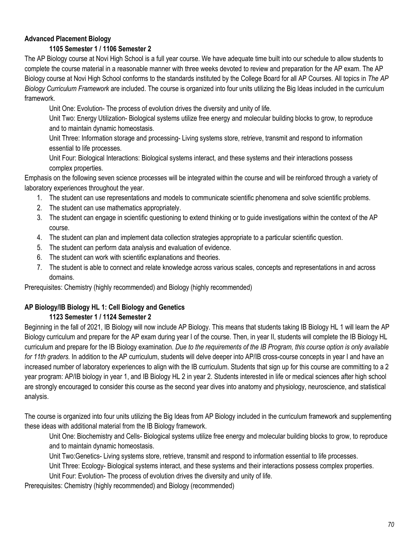## **Advanced Placement Biology**

## **1105 Semester 1 / 1106 Semester 2**

The AP Biology course at Novi High School is a full year course. We have adequate time built into our schedule to allow students to complete the course material in a reasonable manner with three weeks devoted to review and preparation for the AP exam. The AP Biology course at Novi High School conforms to the standards instituted by the College Board for all AP Courses. All topics in *The AP Biology Curriculum Framework* are included. The course is organized into four units utilizing the Big Ideas included in the curriculum framework.

Unit One: Evolution- The process of evolution drives the diversity and unity of life.

Unit Two: Energy Utilization- Biological systems utilize free energy and molecular building blocks to grow, to reproduce and to maintain dynamic homeostasis.

Unit Three: Information storage and processing- Living systems store, retrieve, transmit and respond to information essential to life processes.

Unit Four: Biological Interactions: Biological systems interact, and these systems and their interactions possess complex properties.

Emphasis on the following seven science processes will be integrated within the course and will be reinforced through a variety of laboratory experiences throughout the year.

- 1. The student can use representations and models to communicate scientific phenomena and solve scientific problems.
- 2. The student can use mathematics appropriately.
- 3. The student can engage in scientific questioning to extend thinking or to guide investigations within the context of the AP course.
- 4. The student can plan and implement data collection strategies appropriate to a particular scientific question.
- 5. The student can perform data analysis and evaluation of evidence.
- 6. The student can work with scientific explanations and theories.
- 7. The student is able to connect and relate knowledge across various scales, concepts and representations in and across domains.

Prerequisites: Chemistry (highly recommended) and Biology (highly recommended)

## **AP Biology/IB Biology HL 1: Cell Biology and Genetics**

#### **1123 Semester 1 / 1124 Semester 2**

Beginning in the fall of 2021, IB Biology will now include AP Biology. This means that students taking IB Biology HL 1 will learn the AP Biology curriculum and prepare for the AP exam during year I of the course. Then, in year II, students will complete the IB Biology HL curriculum and prepare for the IB Biology examination. *Due to the requirements of the IB Program, this course option is only available for 11th graders.* In addition to the AP curriculum, students will delve deeper into AP/IB cross-course concepts in year I and have an increased number of laboratory experiences to align with the IB curriculum. Students that sign up for this course are committing to a 2 year program: AP/IB biology in year 1, and IB Biology HL 2 in year 2. Students interested in life or medical sciences after high school are strongly encouraged to consider this course as the second year dives into anatomy and physiology, neuroscience, and statistical analysis.

The course is organized into four units utilizing the Big Ideas from AP Biology included in the curriculum framework and supplementing these ideas with additional material from the IB Biology framework.

Unit One: Biochemistry and Cells- Biological systems utilize free energy and molecular building blocks to grow, to reproduce and to maintain dynamic homeostasis.

Unit Two:Genetics- Living systems store, retrieve, transmit and respond to information essential to life processes.

Unit Three: Ecology- Biological systems interact, and these systems and their interactions possess complex properties.

Unit Four: Evolution- The process of evolution drives the diversity and unity of life.

Prerequisites: Chemistry (highly recommended) and Biology (recommended)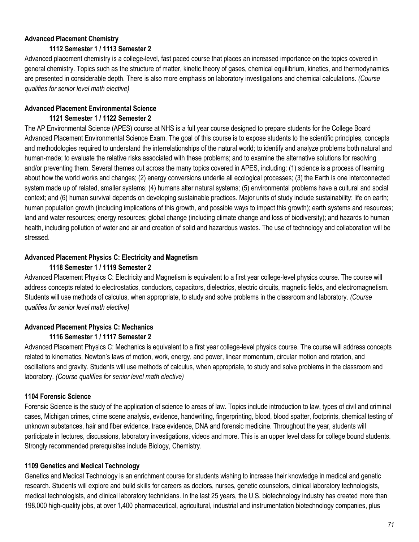## **Advanced Placement Chemistry**

## **1112 Semester 1 / 1113 Semester 2**

Advanced placement chemistry is a college-level, fast paced course that places an increased importance on the topics covered in general chemistry. Topics such as the structure of matter, kinetic theory of gases, chemical equilibrium, kinetics, and thermodynamics are presented in considerable depth. There is also more emphasis on laboratory investigations and chemical calculations. *(Course qualifies for senior level math elective)*

## **Advanced Placement Environmental Science**

## **1121 Semester 1 / 1122 Semester 2**

The AP Environmental Science (APES) course at NHS is a full year course designed to prepare students for the College Board Advanced Placement Environmental Science Exam. The goal of this course is to expose students to the scientific principles, concepts and methodologies required to understand the interrelationships of the natural world; to identify and analyze problems both natural and human-made; to evaluate the relative risks associated with these problems; and to examine the alternative solutions for resolving and/or preventing them. Several themes cut across the many topics covered in APES, including: (1) science is a process of learning about how the world works and changes; (2) energy conversions underlie all ecological processes; (3) the Earth is one interconnected system made up of related, smaller systems; (4) humans alter natural systems; (5) environmental problems have a cultural and social context; and (6) human survival depends on developing sustainable practices. Major units of study include sustainability; life on earth; human population growth (including implications of this growth, and possible ways to impact this growth); earth systems and resources; land and water resources; energy resources; global change (including climate change and loss of biodiversity); and hazards to human health, including pollution of water and air and creation of solid and hazardous wastes. The use of technology and collaboration will be stressed.

## **Advanced Placement Physics C: Electricity and Magnetism**

## **1118 Semester 1 / 1119 Semester 2**

Advanced Placement Physics C: Electricity and Magnetism is equivalent to a first year college-level physics course. The course will address concepts related to electrostatics, conductors, capacitors, dielectrics, electric circuits, magnetic fields, and electromagnetism. Students will use methods of calculus, when appropriate, to study and solve problems in the classroom and laboratory. *(Course qualifies for senior level math elective)*

## **Advanced Placement Physics C: Mechanics**

#### **1116 Semester 1 / 1117 Semester 2**

Advanced Placement Physics C: Mechanics is equivalent to a first year college-level physics course. The course will address concepts related to kinematics, Newton's laws of motion, work, energy, and power, linear momentum, circular motion and rotation, and oscillations and gravity. Students will use methods of calculus, when appropriate, to study and solve problems in the classroom and laboratory. *(Course qualifies for senior level math elective)*

## **1104 Forensic Science**

Forensic Science is the study of the application of science to areas of law. Topics include introduction to law, types of civil and criminal cases, Michigan crimes, crime scene analysis, evidence, handwriting, fingerprinting, blood, blood spatter, footprints, chemical testing of unknown substances, hair and fiber evidence, trace evidence, DNA and forensic medicine. Throughout the year, students will participate in lectures, discussions, laboratory investigations, videos and more. This is an upper level class for college bound students. Strongly recommended prerequisites include Biology, Chemistry.

## **1109 Genetics and Medical Technology**

Genetics and Medical Technology is an enrichment course for students wishing to increase their knowledge in medical and genetic research. Students will explore and build skills for careers as doctors, nurses, genetic counselors, clinical laboratory technologists, medical technologists, and clinical laboratory technicians. In the last 25 years, the U.S. biotechnology industry has created more than 198,000 high-quality jobs, at over 1,400 pharmaceutical, agricultural, industrial and instrumentation biotechnology companies, plus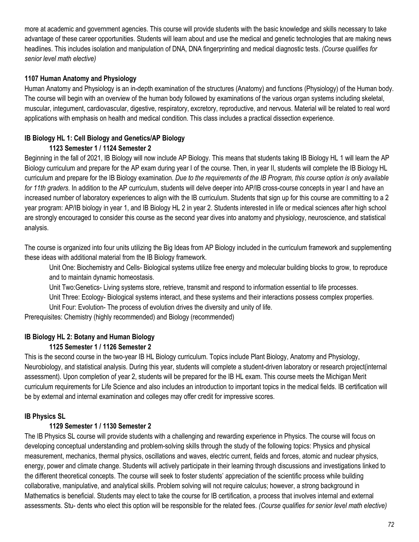more at academic and government agencies. This course will provide students with the basic knowledge and skills necessary to take advantage of these career opportunities. Students will learn about and use the medical and genetic technologies that are making news headlines. This includes isolation and manipulation of DNA, DNA fingerprinting and medical diagnostic tests. *(Course qualifies for senior level math elective)*

#### **1107 Human Anatomy and Physiology**

Human Anatomy and Physiology is an in-depth examination of the structures (Anatomy) and functions (Physiology) of the Human body. The course will begin with an overview of the human body followed by examinations of the various organ systems including skeletal, muscular, integument, cardiovascular, digestive, respiratory, excretory, reproductive, and nervous. Material will be related to real word applications with emphasis on health and medical condition. This class includes a practical dissection experience.

#### **IB Biology HL 1: Cell Biology and Genetics/AP Biology 1123 Semester 1 / 1124 Semester 2**

Beginning in the fall of 2021, IB Biology will now include AP Biology. This means that students taking IB Biology HL 1 will learn the AP Biology curriculum and prepare for the AP exam during year I of the course. Then, in year II, students will complete the IB Biology HL curriculum and prepare for the IB Biology examination. *Due to the requirements of the IB Program, this course option is only available*  for 11th graders. In addition to the AP curriculum, students will delve deeper into AP/IB cross-course concepts in year I and have an increased number of laboratory experiences to align with the IB curriculum. Students that sign up for this course are committing to a 2 year program: AP/IB biology in year 1, and IB Biology HL 2 in year 2. Students interested in life or medical sciences after high school are strongly encouraged to consider this course as the second year dives into anatomy and physiology, neuroscience, and statistical analysis.

The course is organized into four units utilizing the Big Ideas from AP Biology included in the curriculum framework and supplementing these ideas with additional material from the IB Biology framework.

Unit One: Biochemistry and Cells- Biological systems utilize free energy and molecular building blocks to grow, to reproduce and to maintain dynamic homeostasis.

Unit Two:Genetics- Living systems store, retrieve, transmit and respond to information essential to life processes.

Unit Three: Ecology- Biological systems interact, and these systems and their interactions possess complex properties.

Unit Four: Evolution- The process of evolution drives the diversity and unity of life.

Prerequisites: Chemistry (highly recommended) and Biology (recommended)

## **IB Biology HL 2: Botany and Human Biology**

## **1125 Semester 1 / 1126 Semester 2**

This is the second course in the two-year IB HL Biology curriculum. Topics include Plant Biology, Anatomy and Physiology, Neurobiology, and statistical analysis. During this year, students will complete a student-driven laboratory or research project(internal assessment). Upon completion of year 2, students will be prepared for the IB HL exam. This course meets the Michigan Merit curriculum requirements for Life Science and also includes an introduction to important topics in the medical fields. IB certification will be by external and internal examination and colleges may offer credit for impressive scores.

## **IB Physics SL**

#### **1129 Semester 1 / 1130 Semester 2**

The IB Physics SL course will provide students with a challenging and rewarding experience in Physics. The course will focus on developing conceptual understanding and problem-solving skills through the study of the following topics: Physics and physical measurement, mechanics, thermal physics, oscillations and waves, electric current, fields and forces, atomic and nuclear physics, energy, power and climate change. Students will actively participate in their learning through discussions and investigations linked to the different theoretical concepts. The course will seek to foster students' appreciation of the scientific process while building collaborative, manipulative, and analytical skills. Problem solving will not require calculus; however, a strong background in Mathematics is beneficial. Students may elect to take the course for IB certification, a process that involves internal and external assessments. Stu- dents who elect this option will be responsible for the related fees. *(Course qualifies for senior level math elective)*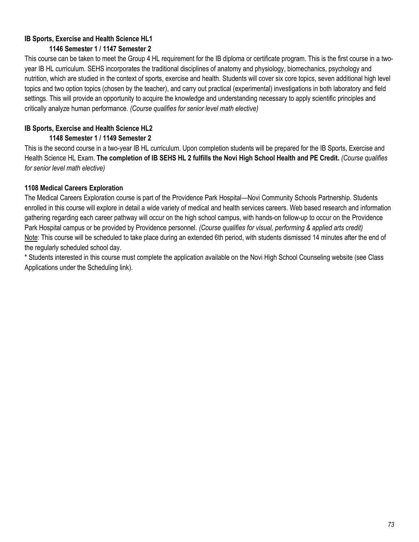# **IB Sports, Exercise and Health Science HL1 1146 Semester 1 / 1147 Semester 2**

This course can be taken to meet the Group 4 HL requirement for the IB diploma or certificate program. This is the first course in a twoyear IB HL curriculum. SEHS incorporates the traditional disciplines of anatomy and physiology, biomechanics, psychology and nutrition, which are studied in the context of sports, exercise and health. Students will cover six core topics, seven additional high level topics and two option topics (chosen by the teacher), and carry out practical (experimental) investigations in both laboratory and field settings. This will provide an opportunity to acquire the knowledge and understanding necessary to apply scientific principles and critically analyze human performance. *(Course qualifies for senior level math elective)*

# **IB Sports, Exercise and Health Science HL2**

# **1148 Semester 1 / 1149 Semester 2**

This is the second course in a two-year IB HL curriculum. Upon completion students will be prepared for the IB Sports, Exercise and Health Science HL Exam. **The completion of IB SEHS HL 2 fulfills the Novi High School Health and PE Credit.** *(Course qualifies for senior level math elective)*

# **1108 Medical Careers Exploration**

The Medical Careers Exploration course is part of the Providence Park Hospital—Novi Community Schools Partnership. Students enrolled in this course will explore in detail a wide variety of medical and health services careers. Web based research and information gathering regarding each career pathway will occur on the high school campus, with hands-on follow-up to occur on the Providence Park Hospital campus or be provided by Providence personnel. *(Course qualifies for visual, performing & applied arts credit)* Note: This course will be scheduled to take place during an extended 6th period, with students dismissed 14 minutes after the end of the regularly scheduled school day.

\* Students interested in this course must complete the application available on the Novi High School Counseling website (see Class Applications under the Scheduling link).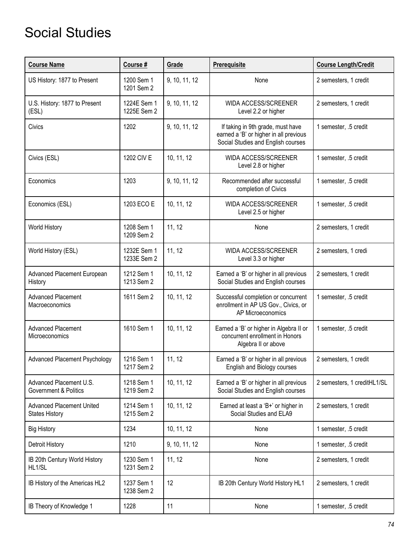# Social Studies

| <b>Course Name</b>                                        | Course #                   | Grade         | Prerequisite                                                                                                      | <b>Course Length/Credit</b> |
|-----------------------------------------------------------|----------------------------|---------------|-------------------------------------------------------------------------------------------------------------------|-----------------------------|
| US History: 1877 to Present                               | 1200 Sem 1<br>1201 Sem 2   | 9, 10, 11, 12 | None                                                                                                              | 2 semesters, 1 credit       |
| U.S. History: 1877 to Present<br>(ESL)                    | 1224E Sem 1<br>1225E Sem 2 | 9, 10, 11, 12 | <b>WIDA ACCESS/SCREENER</b><br>Level 2.2 or higher                                                                | 2 semesters, 1 credit       |
| Civics                                                    | 1202                       | 9, 10, 11, 12 | If taking in 9th grade, must have<br>earned a 'B' or higher in all previous<br>Social Studies and English courses | 1 semester, .5 credit       |
| Civics (ESL)                                              | 1202 CIV E                 | 10, 11, 12    | WIDA ACCESS/SCREENER<br>Level 2.8 or higher                                                                       | 1 semester, .5 credit       |
| Economics                                                 | 1203                       | 9, 10, 11, 12 | Recommended after successful<br>completion of Civics                                                              | 1 semester, .5 credit       |
| Economics (ESL)                                           | 1203 ECO E                 | 10, 11, 12    | <b>WIDA ACCESS/SCREENER</b><br>Level 2.5 or higher                                                                | 1 semester, .5 credit       |
| World History                                             | 1208 Sem 1<br>1209 Sem 2   | 11, 12        | None                                                                                                              | 2 semesters, 1 credit       |
| World History (ESL)                                       | 1232E Sem 1<br>1233E Sem 2 | 11, 12        | WIDA ACCESS/SCREENER<br>Level 3.3 or higher                                                                       | 2 semesters, 1 credi        |
| Advanced Placement European<br>History                    | 1212 Sem 1<br>1213 Sem 2   | 10, 11, 12    | Earned a 'B' or higher in all previous<br>Social Studies and English courses                                      | 2 semesters, 1 credit       |
| <b>Advanced Placement</b><br>Macroeconomics               | 1611 Sem 2                 | 10, 11, 12    | Successful completion or concurrent<br>enrollment in AP US Gov., Civics, or<br>AP Microeconomics                  | 1 semester, .5 credit       |
| <b>Advanced Placement</b><br>Microeconomics               | 1610 Sem 1                 | 10, 11, 12    | Earned a 'B' or higher in Algebra II or<br>concurrent enrollment in Honors<br>Algebra II or above                 | 1 semester, .5 credit       |
| Advanced Placement Psychology                             | 1216 Sem 1<br>1217 Sem 2   | 11, 12        | Earned a 'B' or higher in all previous<br>English and Biology courses                                             | 2 semesters, 1 credit       |
| Advanced Placement U.S.<br>Government & Politics          | 1218 Sem 1<br>1219 Sem 2   | 10, 11, 12    | Earned a 'B' or higher in all previous<br>Social Studies and English courses                                      | 2 semesters, 1 creditHL1/SL |
| <b>Advanced Placement United</b><br><b>States History</b> | 1214 Sem 1<br>1215 Sem 2   | 10, 11, 12    | Earned at least a 'B+' or higher in<br>Social Studies and ELA9                                                    | 2 semesters, 1 credit       |
| <b>Big History</b>                                        | 1234                       | 10, 11, 12    | None                                                                                                              | 1 semester, .5 credit       |
| Detroit History                                           | 1210                       | 9, 10, 11, 12 | None                                                                                                              | 1 semester, .5 credit       |
| IB 20th Century World History<br>HL1/SL                   | 1230 Sem 1<br>1231 Sem 2   | 11, 12        | None                                                                                                              | 2 semesters, 1 credit       |
| IB History of the Americas HL2                            | 1237 Sem 1<br>1238 Sem 2   | 12            | IB 20th Century World History HL1                                                                                 | 2 semesters, 1 credit       |
| IB Theory of Knowledge 1                                  | 1228                       | 11            | None                                                                                                              | 1 semester, .5 credit       |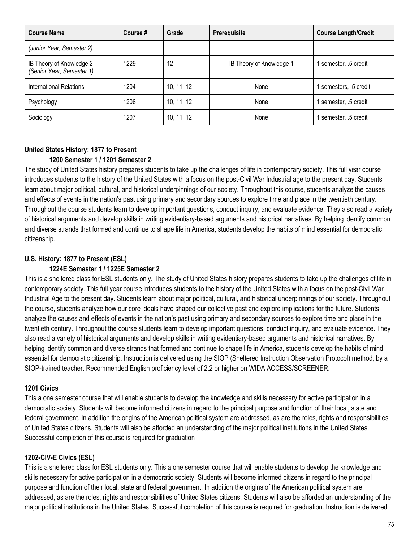| <b>Course Name</b>                                    | Course # | Grade      | <b>Prerequisite</b>      | <b>Course Length/Credit</b> |
|-------------------------------------------------------|----------|------------|--------------------------|-----------------------------|
| (Junior Year, Semester 2)                             |          |            |                          |                             |
| IB Theory of Knowledge 2<br>(Senior Year, Semester 1) | 1229     | 12         | IB Theory of Knowledge 1 | semester, .5 credit         |
| International Relations                               | 1204     | 10, 11, 12 | None                     | semesters, .5 credit        |
| Psychology                                            | 1206     | 10, 11, 12 | None                     | semester, .5 credit         |
| Sociology                                             | 1207     | 10, 11, 12 | None                     | semester, .5 credit         |

# **United States History: 1877 to Present 1200 Semester 1 / 1201 Semester 2**

The study of United States history prepares students to take up the challenges of life in contemporary society. This full year course introduces students to the history of the United States with a focus on the post-Civil War Industrial age to the present day. Students learn about major political, cultural, and historical underpinnings of our society. Throughout this course, students analyze the causes and effects of events in the nation's past using primary and secondary sources to explore time and place in the twentieth century. Throughout the course students learn to develop important questions, conduct inquiry, and evaluate evidence. They also read a variety of historical arguments and develop skills in writing evidentiary-based arguments and historical narratives. By helping identify common and diverse strands that formed and continue to shape life in America, students develop the habits of mind essential for democratic citizenship.

# **U.S. History: 1877 to Present (ESL)**

#### **1224E Semester 1 / 1225E Semester 2**

This is a sheltered class for ESL students only. The study of United States history prepares students to take up the challenges of life in contemporary society. This full year course introduces students to the history of the United States with a focus on the post-Civil War Industrial Age to the present day. Students learn about major political, cultural, and historical underpinnings of our society. Throughout the course, students analyze how our core ideals have shaped our collective past and explore implications for the future. Students analyze the causes and effects of events in the nation's past using primary and secondary sources to explore time and place in the twentieth century. Throughout the course students learn to develop important questions, conduct inquiry, and evaluate evidence. They also read a variety of historical arguments and develop skills in writing evidentiary-based arguments and historical narratives. By helping identify common and diverse strands that formed and continue to shape life in America, students develop the habits of mind essential for democratic citizenship. Instruction is delivered using the SIOP (Sheltered Instruction Observation Protocol) method, by a SIOP-trained teacher. Recommended English proficiency level of 2.2 or higher on WIDA ACCESS/SCREENER.

# **1201 Civics**

This a one semester course that will enable students to develop the knowledge and skills necessary for active participation in a democratic society. Students will become informed citizens in regard to the principal purpose and function of their local, state and federal government. In addition the origins of the American political system are addressed, as are the roles, rights and responsibilities of United States citizens. Students will also be afforded an understanding of the major political institutions in the United States. Successful completion of this course is required for graduation

# **1202-CIV-E Civics (ESL)**

This is a sheltered class for ESL students only. This a one semester course that will enable students to develop the knowledge and skills necessary for active participation in a democratic society. Students will become informed citizens in regard to the principal purpose and function of their local, state and federal government. In addition the origins of the American political system are addressed, as are the roles, rights and responsibilities of United States citizens. Students will also be afforded an understanding of the major political institutions in the United States. Successful completion of this course is required for graduation. Instruction is delivered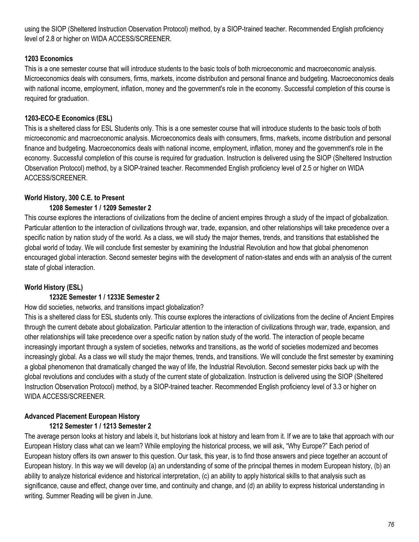using the SIOP (Sheltered Instruction Observation Protocol) method, by a SIOP-trained teacher. Recommended English proficiency level of 2.8 or higher on WIDA ACCESS/SCREENER.

#### **1203 Economics**

This is a one semester course that will introduce students to the basic tools of both microeconomic and macroeconomic analysis. Microeconomics deals with consumers, firms, markets, income distribution and personal finance and budgeting. Macroeconomics deals with national income, employment, inflation, money and the government's role in the economy. Successful completion of this course is required for graduation.

# **1203-ECO-E Economics (ESL)**

This is a sheltered class for ESL Students only. This is a one semester course that will introduce students to the basic tools of both microeconomic and macroeconomic analysis. Microeconomics deals with consumers, firms, markets, income distribution and personal finance and budgeting. Macroeconomics deals with national income, employment, inflation, money and the government's role in the economy. Successful completion of this course is required for graduation. Instruction is delivered using the SIOP (Sheltered Instruction Observation Protocol) method, by a SIOP-trained teacher. Recommended English proficiency level of 2.5 or higher on WIDA ACCESS/SCREENER.

# **World History, 300 C.E. to Present**

#### **1208 Semester 1 / 1209 Semester 2**

This course explores the interactions of civilizations from the decline of ancient empires through a study of the impact of globalization. Particular attention to the interaction of civilizations through war, trade, expansion, and other relationships will take precedence over a specific nation by nation study of the world. As a class, we will study the major themes, trends, and transitions that established the global world of today. We will conclude first semester by examining the Industrial Revolution and how that global phenomenon encouraged global interaction. Second semester begins with the development of nation-states and ends with an analysis of the current state of global interaction.

# **World History (ESL)**

#### **1232E Semester 1 / 1233E Semester 2**

#### How did societies, networks, and transitions impact globalization?

This is a sheltered class for ESL students only. This course explores the interactions of civilizations from the decline of Ancient Empires through the current debate about globalization. Particular attention to the interaction of civilizations through war, trade, expansion, and other relationships will take precedence over a specific nation by nation study of the world. The interaction of people became increasingly important through a system of societies, networks and transitions, as the world of societies modernized and becomes increasingly global. As a class we will study the major themes, trends, and transitions. We will conclude the first semester by examining a global phenomenon that dramatically changed the way of life, the Industrial Revolution. Second semester picks back up with the global revolutions and concludes with a study of the current state of globalization. Instruction is delivered using the SIOP (Sheltered Instruction Observation Protocol) method, by a SIOP-trained teacher. Recommended English proficiency level of 3.3 or higher on WIDA ACCESS/SCREENER.

# **Advanced Placement European History**

#### **1212 Semester 1 / 1213 Semester 2**

The average person looks at history and labels it, but historians look at history and learn from it. If we are to take that approach with our European History class what can we learn? While employing the historical process, we will ask, "Why Europe?" Each period of European history offers its own answer to this question. Our task, this year, is to find those answers and piece together an account of European history. In this way we will develop (a) an understanding of some of the principal themes in modern European history, (b) an ability to analyze historical evidence and historical interpretation, (c) an ability to apply historical skills to that analysis such as significance, cause and effect, change over time, and continuity and change, and (d) an ability to express historical understanding in writing. Summer Reading will be given in June.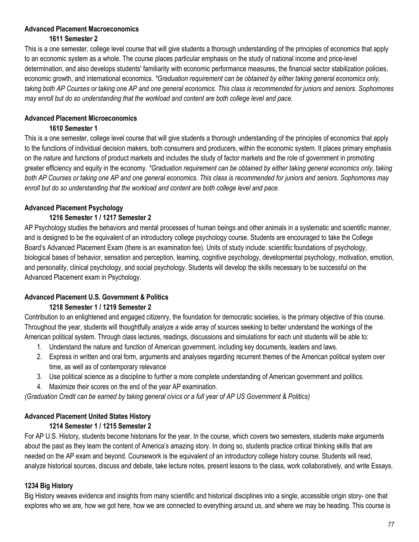# **Advanced Placement Macroeconomics**

# **1611 Semester 2**

This is a one semester, college level course that will give students a thorough understanding of the principles of economics that apply to an economic system as a whole. The course places particular emphasis on the study of national income and price-level determination, and also develops students' familiarity with economic performance measures, the financial sector stabilization policies, economic growth, and international economics. *\*Graduation requirement can be obtained by either taking general economics only, taking both AP Courses or taking one AP and one general economics. This class is recommended for juniors and seniors. Sophomores may enroll but do so understanding that the workload and content are both college level and pace.*

# **Advanced Placement Microeconomics**

# **1610 Semester 1**

This is a one semester, college level course that will give students a thorough understanding of the principles of economics that apply to the functions of individual decision makers, both consumers and producers, within the economic system. It places primary emphasis on the nature and functions of product markets and includes the study of factor markets and the role of government in promoting greater efficiency and equity in the economy. *\*Graduation requirement can be obtained by either taking general economics only, taking both AP Courses or taking one AP and one general economics. This class is recommended for juniors and seniors. Sophomores may enroll but do so understanding that the workload and content are both college level and pace.*

# **Advanced Placement Psychology**

# **1216 Semester 1 / 1217 Semester 2**

AP Psychology studies the behaviors and mental processes of human beings and other animals in a systematic and scientific manner, and is designed to be the equivalent of an introductory college psychology course. Students are encouraged to take the College Board's Advanced Placement Exam (there is an examination fee). Units of study include: scientific foundations of psychology, biological bases of behavior, sensation and perception, learning, cognitive psychology, developmental psychology, motivation, emotion, and personality, clinical psychology, and social psychology. Students will develop the skills necessary to be successful on the Advanced Placement exam in Psychology.

# **Advanced Placement U.S. Government & Politics 1218 Semester 1 / 1219 Semester 2**

Contribution to an enlightened and engaged citizenry, the foundation for democratic societies, is the primary objective of this course. Throughout the year, students will thoughtfully analyze a wide array of sources seeking to better understand the workings of the American political system. Through class lectures, readings, discussions and simulations for each unit students will be able to:

- 1. Understand the nature and function of American government, including key documents, leaders and laws.
- 2. Express in written and oral form, arguments and analyses regarding recurrent themes of the American political system over time, as well as of contemporary relevance
- 3. Use political science as a discipline to further a more complete understanding of American government and politics.
- 4. Maximize their scores on the end of the year AP examination.

*(Graduation Credit can be earned by taking general civics or a full year of AP US Government & Politics)*

# **Advanced Placement United States History**

# **1214 Semester 1 / 1215 Semester 2**

For AP U.S. History, students become historians for the year. In the course, which covers two semesters, students make arguments about the past as they learn the content of America's amazing story. In doing so, students practice critical thinking skills that are needed on the AP exam and beyond. Coursework is the equivalent of an introductory college history course. Students will read, analyze historical sources, discuss and debate, take lecture notes, present lessons to the class, work collaboratively, and write Essays.

# **1234 Big History**

Big History weaves evidence and insights from many scientific and historical disciplines into a single, accessible origin story- one that explores who we are, how we got here, how we are connected to everything around us, and where we may be heading. This course is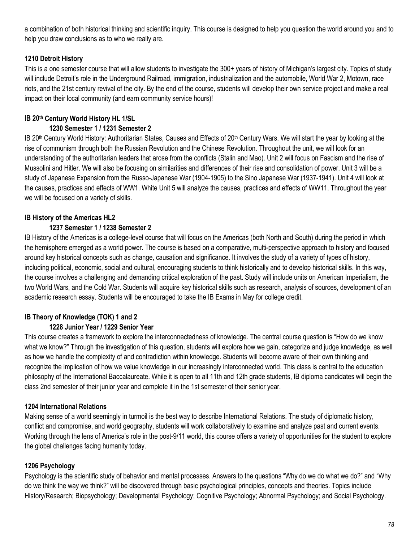a combination of both historical thinking and scientific inquiry. This course is designed to help you question the world around you and to help you draw conclusions as to who we really are.

# **1210 Detroit History**

This is a one semester course that will allow students to investigate the 300+ years of history of Michigan's largest city. Topics of study will include Detroit's role in the Underground Railroad, immigration, industrialization and the automobile, World War 2, Motown, race riots, and the 21st century revival of the city. By the end of the course, students will develop their own service project and make a real impact on their local community (and earn community service hours)!

# **IB 20th Century World History HL 1/SL**

#### **1230 Semester 1 / 1231 Semester 2**

IB 20th Century World History: Authoritarian States, Causes and Effects of 20th Century Wars. We will start the year by looking at the rise of communism through both the Russian Revolution and the Chinese Revolution. Throughout the unit, we will look for an understanding of the authoritarian leaders that arose from the conflicts (Stalin and Mao). Unit 2 will focus on Fascism and the rise of Mussolini and Hitler. We will also be focusing on similarities and differences of their rise and consolidation of power. Unit 3 will be a study of Japanese Expansion from the Russo-Japanese War (1904-1905) to the Sino Japanese War (1937-1941). Unit 4 will look at the causes, practices and effects of WW1. White Unit 5 will analyze the causes, practices and effects of WW11. Throughout the year we will be focused on a variety of skills.

# **IB History of the Americas HL2**

# **1237 Semester 1 / 1238 Semester 2**

IB History of the Americas is a college-level course that will focus on the Americas (both North and South) during the period in which the hemisphere emerged as a world power. The course is based on a comparative, multi-perspective approach to history and focused around key historical concepts such as change, causation and significance. It involves the study of a variety of types of history, including political, economic, social and cultural, encouraging students to think historically and to develop historical skills. In this way, the course involves a challenging and demanding critical exploration of the past. Study will include units on American Imperialism, the two World Wars, and the Cold War. Students will acquire key historical skills such as research, analysis of sources, development of an academic research essay. Students will be encouraged to take the IB Exams in May for college credit.

# **IB Theory of Knowledge (TOK) 1 and 2 1228 Junior Year / 1229 Senior Year**

This course creates a framework to explore the interconnectedness of knowledge. The central course question is "How do we know what we know?" Through the investigation of this question, students will explore how we gain, categorize and judge knowledge, as well as how we handle the complexity of and contradiction within knowledge. Students will become aware of their own thinking and recognize the implication of how we value knowledge in our increasingly interconnected world. This class is central to the education philosophy of the International Baccalaureate. While it is open to all 11th and 12th grade students, IB diploma candidates will begin the class 2nd semester of their junior year and complete it in the 1st semester of their senior year.

# **1204 International Relations**

Making sense of a world seemingly in turmoil is the best way to describe International Relations. The study of diplomatic history, conflict and compromise, and world geography, students will work collaboratively to examine and analyze past and current events. Working through the lens of America's role in the post-9/11 world, this course offers a variety of opportunities for the student to explore the global challenges facing humanity today.

# **1206 Psychology**

Psychology is the scientific study of behavior and mental processes. Answers to the questions "Why do we do what we do?" and "Why do we think the way we think?" will be discovered through basic psychological principles, concepts and theories. Topics include History/Research; Biopsychology; Developmental Psychology; Cognitive Psychology; Abnormal Psychology; and Social Psychology.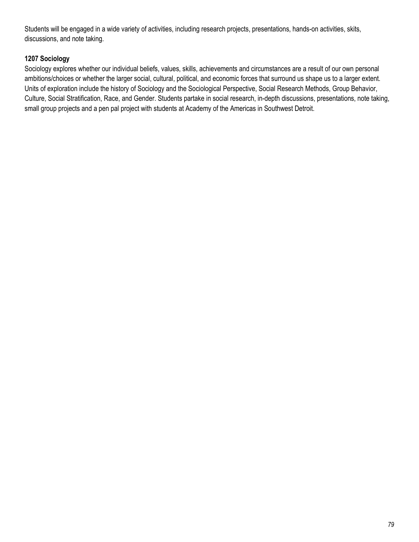Students will be engaged in a wide variety of activities, including research projects, presentations, hands-on activities, skits, discussions, and note taking.

# **1207 Sociology**

Sociology explores whether our individual beliefs, values, skills, achievements and circumstances are a result of our own personal ambitions/choices or whether the larger social, cultural, political, and economic forces that surround us shape us to a larger extent. Units of exploration include the history of Sociology and the Sociological Perspective, Social Research Methods, Group Behavior, Culture, Social Stratification, Race, and Gender. Students partake in social research, in-depth discussions, presentations, note taking, small group projects and a pen pal project with students at Academy of the Americas in Southwest Detroit.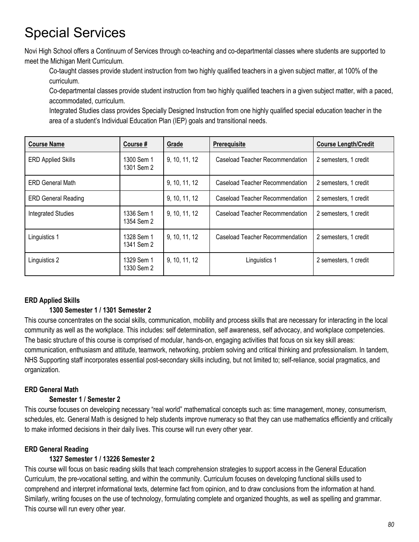# Special Services

Novi High School offers a Continuum of Services through co-teaching and co-departmental classes where students are supported to meet the Michigan Merit Curriculum.

Co-taught classes provide student instruction from two highly qualified teachers in a given subject matter, at 100% of the curriculum.

Co-departmental classes provide student instruction from two highly qualified teachers in a given subject matter, with a paced, accommodated, curriculum.

Integrated Studies class provides Specially Designed Instruction from one highly qualified special education teacher in the area of a student's Individual Education Plan (IEP) goals and transitional needs.

| <b>Course Name</b>         | Course#                  | Grade         | <b>Prerequisite</b>             | <b>Course Length/Credit</b> |
|----------------------------|--------------------------|---------------|---------------------------------|-----------------------------|
| <b>ERD Applied Skills</b>  | 1300 Sem 1<br>1301 Sem 2 | 9, 10, 11, 12 | Caseload Teacher Recommendation | 2 semesters, 1 credit       |
| <b>ERD General Math</b>    |                          | 9, 10, 11, 12 | Caseload Teacher Recommendation | 2 semesters, 1 credit       |
| <b>ERD General Reading</b> |                          | 9, 10, 11, 12 | Caseload Teacher Recommendation | 2 semesters, 1 credit       |
| Integrated Studies         | 1336 Sem 1<br>1354 Sem 2 | 9, 10, 11, 12 | Caseload Teacher Recommendation | 2 semesters, 1 credit       |
| Linguistics 1              | 1328 Sem 1<br>1341 Sem 2 | 9, 10, 11, 12 | Caseload Teacher Recommendation | 2 semesters, 1 credit       |
| Linguistics 2              | 1329 Sem 1<br>1330 Sem 2 | 9, 10, 11, 12 | Linguistics 1                   | 2 semesters, 1 credit       |

# **ERD Applied Skills**

# **1300 Semester 1 / 1301 Semester 2**

This course concentrates on the social skills, communication, mobility and process skills that are necessary for interacting in the local community as well as the workplace. This includes: self determination, self awareness, self advocacy, and workplace competencies. The basic structure of this course is comprised of modular, hands-on, engaging activities that focus on six key skill areas: communication, enthusiasm and attitude, teamwork, networking, problem solving and critical thinking and professionalism. In tandem, NHS Supporting staff incorporates essential post-secondary skills including, but not limited to; self-reliance, social pragmatics, and organization.

# **ERD General Math**

# **Semester 1 / Semester 2**

This course focuses on developing necessary "real world" mathematical concepts such as: time management, money, consumerism, schedules, etc. General Math is designed to help students improve numeracy so that they can use mathematics efficiently and critically to make informed decisions in their daily lives. This course will run every other year.

# **ERD General Reading**

# **1327 Semester 1 / 13226 Semester 2**

This course will focus on basic reading skills that teach comprehension strategies to support access in the General Education Curriculum, the pre-vocational setting, and within the community. Curriculum focuses on developing functional skills used to comprehend and interpret informational texts, determine fact from opinion, and to draw conclusions from the information at hand. Similarly, writing focuses on the use of technology, formulating complete and organized thoughts, as well as spelling and grammar. This course will run every other year.